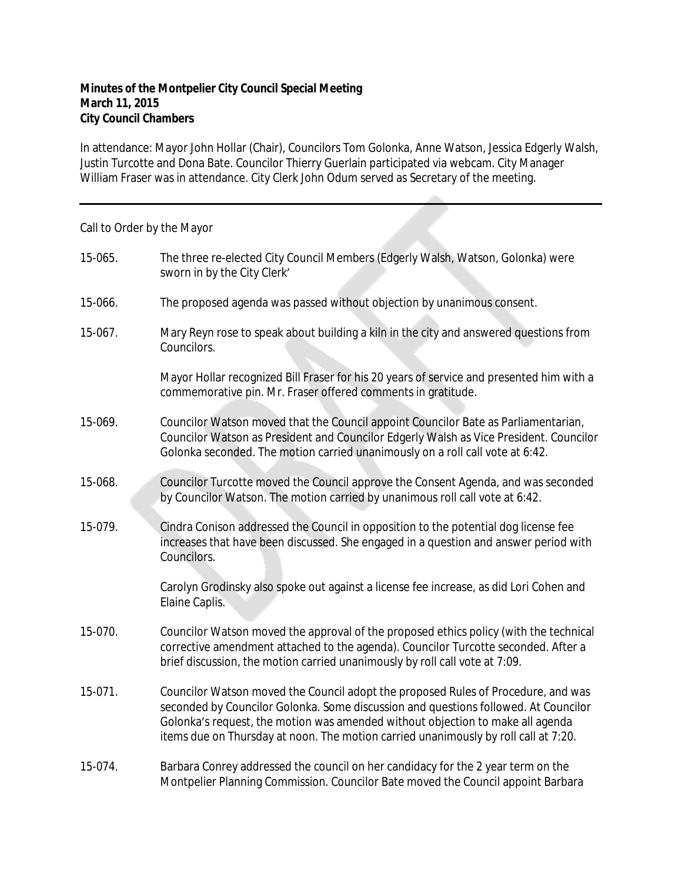## **Minutes of the Montpelier City Council Special Meeting March 11, 2015 City Council Chambers**

In attendance: Mayor John Hollar (Chair), Councilors Tom Golonka, Anne Watson, Jessica Edgerly Walsh, Justin Turcotte and Dona Bate. Councilor Thierry Guerlain participated via webcam. City Manager William Fraser was in attendance. City Clerk John Odum served as Secretary of the meeting.

Call to Order by the Mayor 15-065. The three re-elected City Council Members (Edgerly Walsh, Watson, Golonka) were sworn in by the City Clerk' 15-066. The proposed agenda was passed without objection by unanimous consent. 15-067. Mary Reyn rose to speak about building a kiln in the city and answered questions from Councilors. Mayor Hollar recognized Bill Fraser for his 20 years of service and presented him with a commemorative pin. Mr. Fraser offered comments in gratitude. 15-069. Councilor Watson moved that the Council appoint Councilor Bate as Parliamentarian, Councilor Watson as President and Councilor Edgerly Walsh as Vice President. Councilor Golonka seconded. The motion carried unanimously on a roll call vote at 6:42. 15-068. Councilor Turcotte moved the Council approve the Consent Agenda, and was seconded by Councilor Watson. The motion carried by unanimous roll call vote at 6:42. 15-079. Cindra Conison addressed the Council in opposition to the potential dog license fee increases that have been discussed. She engaged in a question and answer period with Councilors. Carolyn Grodinsky also spoke out against a license fee increase, as did Lori Cohen and Elaine Caplis. 15-070. Councilor Watson moved the approval of the proposed ethics policy (with the technical corrective amendment attached to the agenda). Councilor Turcotte seconded. After a brief discussion, the motion carried unanimously by roll call vote at 7:09. 15-071. Councilor Watson moved the Council adopt the proposed Rules of Procedure, and was seconded by Councilor Golonka. Some discussion and questions followed. At Councilor Golonka's request, the motion was amended without objection to make all agenda items due on Thursday at noon. The motion carried unanimously by roll call at 7:20. 15-074. Barbara Conrey addressed the council on her candidacy for the 2 year term on the Montpelier Planning Commission. Councilor Bate moved the Council appoint Barbara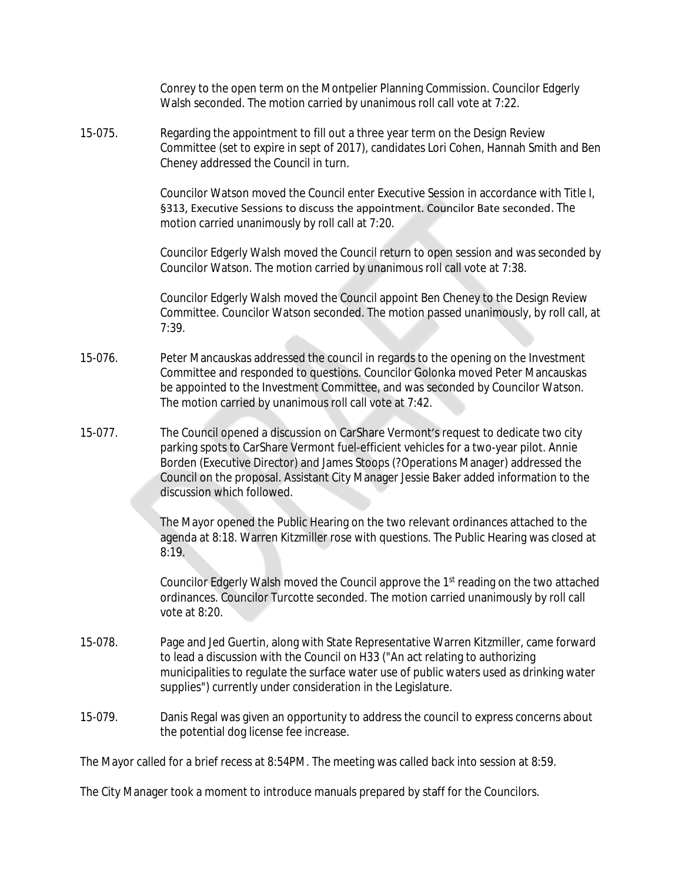|         | Conrey to the open term on the Montpelier Planning Commission. Councilor Edgerly<br>Walsh seconded. The motion carried by unanimous roll call vote at 7:22.                                                                                                                                                                                                                            |
|---------|----------------------------------------------------------------------------------------------------------------------------------------------------------------------------------------------------------------------------------------------------------------------------------------------------------------------------------------------------------------------------------------|
| 15-075. | Regarding the appointment to fill out a three year term on the Design Review<br>Committee (set to expire in sept of 2017), candidates Lori Cohen, Hannah Smith and Ben<br>Cheney addressed the Council in turn.                                                                                                                                                                        |
|         | Councilor Watson moved the Council enter Executive Session in accordance with Title I,<br>§313, Executive Sessions to discuss the appointment. Councilor Bate seconded. The<br>motion carried unanimously by roll call at 7:20.                                                                                                                                                        |
|         | Councilor Edgerly Walsh moved the Council return to open session and was seconded by<br>Councilor Watson. The motion carried by unanimous roll call vote at 7:38.                                                                                                                                                                                                                      |
|         | Councilor Edgerly Walsh moved the Council appoint Ben Cheney to the Design Review<br>Committee. Councilor Watson seconded. The motion passed unanimously, by roll call, at<br>7:39.                                                                                                                                                                                                    |
| 15-076. | Peter Mancauskas addressed the council in regards to the opening on the Investment<br>Committee and responded to questions. Councilor Golonka moved Peter Mancauskas<br>be appointed to the Investment Committee, and was seconded by Councilor Watson.<br>The motion carried by unanimous roll call vote at 7:42.                                                                     |
| 15-077. | The Council opened a discussion on CarShare Vermont's request to dedicate two city<br>parking spots to CarShare Vermont fuel-efficient vehicles for a two-year pilot. Annie<br>Borden (Executive Director) and James Stoops (?Operations Manager) addressed the<br>Council on the proposal. Assistant City Manager Jessie Baker added information to the<br>discussion which followed. |
|         | The Mayor opened the Public Hearing on the two relevant ordinances attached to the<br>agenda at 8:18. Warren Kitzmiller rose with questions. The Public Hearing was closed at<br>8:19.                                                                                                                                                                                                 |
|         | Councilor Edgerly Walsh moved the Council approve the 1st reading on the two attached<br>ordinances. Councilor Turcotte seconded. The motion carried unanimously by roll call<br>vote at 8:20.                                                                                                                                                                                         |
| 15-078. | Page and Jed Guertin, along with State Representative Warren Kitzmiller, came forward<br>to lead a discussion with the Council on H33 ("An act relating to authorizing<br>municipalities to regulate the surface water use of public waters used as drinking water<br>supplies") currently under consideration in the Legislature.                                                     |
| 15-079. | Danis Regal was given an opportunity to address the council to express concerns about<br>the potential dog license fee increase.                                                                                                                                                                                                                                                       |
|         | The Mayor called for a brief recess at 8:54PM. The meeting was called back into session at 8:59.                                                                                                                                                                                                                                                                                       |

The City Manager took a moment to introduce manuals prepared by staff for the Councilors.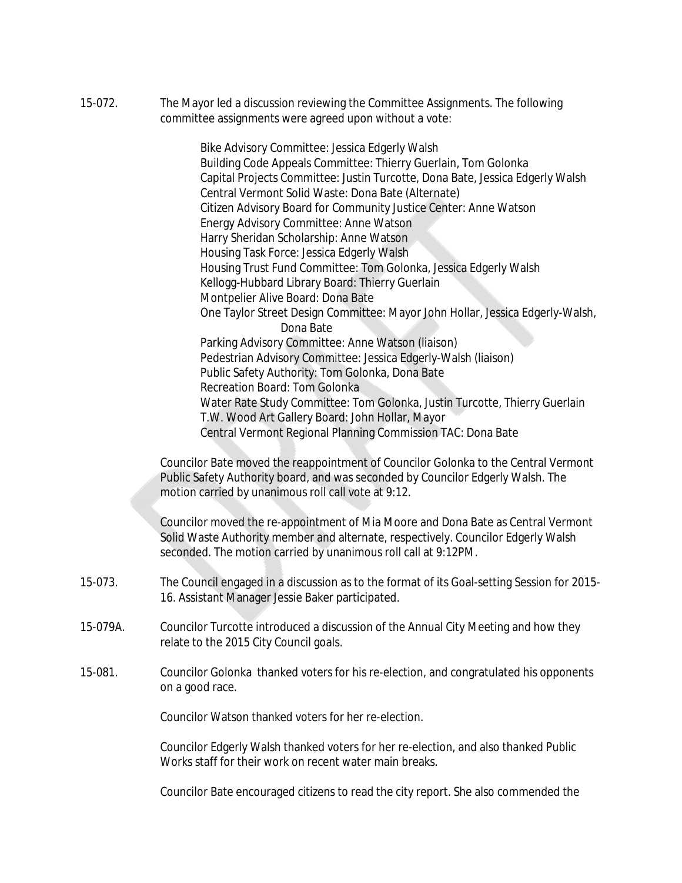15-072. The Mayor led a discussion reviewing the Committee Assignments. The following committee assignments were agreed upon without a vote:

> Bike Advisory Committee: Jessica Edgerly Walsh Building Code Appeals Committee: Thierry Guerlain, Tom Golonka Capital Projects Committee: Justin Turcotte, Dona Bate, Jessica Edgerly Walsh Central Vermont Solid Waste: Dona Bate (Alternate) Citizen Advisory Board for Community Justice Center: Anne Watson Energy Advisory Committee: Anne Watson Harry Sheridan Scholarship: Anne Watson Housing Task Force: Jessica Edgerly Walsh Housing Trust Fund Committee: Tom Golonka, Jessica Edgerly Walsh Kellogg-Hubbard Library Board: Thierry Guerlain Montpelier Alive Board: Dona Bate One Taylor Street Design Committee: Mayor John Hollar, Jessica Edgerly-Walsh, Dona Bate Parking Advisory Committee: Anne Watson (liaison) Pedestrian Advisory Committee: Jessica Edgerly-Walsh (liaison) Public Safety Authority: Tom Golonka, Dona Bate Recreation Board: Tom Golonka Water Rate Study Committee: Tom Golonka, Justin Turcotte, Thierry Guerlain T.W. Wood Art Gallery Board: John Hollar, Mayor Central Vermont Regional Planning Commission TAC: Dona Bate

Councilor Bate moved the reappointment of Councilor Golonka to the Central Vermont Public Safety Authority board, and was seconded by Councilor Edgerly Walsh. The motion carried by unanimous roll call vote at 9:12.

Councilor moved the re-appointment of Mia Moore and Dona Bate as Central Vermont Solid Waste Authority member and alternate, respectively. Councilor Edgerly Walsh seconded. The motion carried by unanimous roll call at 9:12PM.

- 15-073. The Council engaged in a discussion as to the format of its Goal-setting Session for 2015- 16. Assistant Manager Jessie Baker participated.
- 15-079A. Councilor Turcotte introduced a discussion of the Annual City Meeting and how they relate to the 2015 City Council goals.
- 15-081. Councilor Golonka thanked voters for his re-election, and congratulated his opponents on a good race.

Councilor Watson thanked voters for her re-election.

Councilor Edgerly Walsh thanked voters for her re-election, and also thanked Public Works staff for their work on recent water main breaks.

Councilor Bate encouraged citizens to read the city report. She also commended the